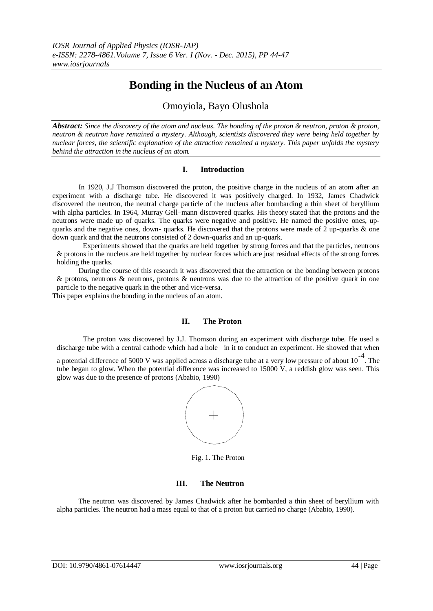# **Bonding in the Nucleus of an Atom**

Omoyiola, Bayo Olushola

*Abstract: Since the discovery of the atom and nucleus. The bonding of the proton & neutron, proton & proton, neutron & neutron have remained a mystery. Although, scientists discovered they were being held together by nuclear forces, the scientific explanation of the attraction remained a mystery. This paper unfolds the mystery behind the attraction in the nucleus of an atom.*

## **I. Introduction**

In 1920, J.J Thomson discovered the proton, the positive charge in the nucleus of an atom after an experiment with a discharge tube. He discovered it was positively charged. In 1932, James Chadwick discovered the neutron, the neutral charge particle of the nucleus after bombarding a thin sheet of beryllium with alpha particles. In 1964, Murray Gell–mann discovered quarks. His theory stated that the protons and the neutrons were made up of quarks. The quarks were negative and positive. He named the positive ones, upquarks and the negative ones, down- quarks. He discovered that the protons were made of 2 up-quarks & one down quark and that the neutrons consisted of 2 down-quarks and an up-quark.

Experiments showed that the quarks are held together by strong forces and that the particles, neutrons & protons in the nucleus are held together by nuclear forces which are just residual effects of the strong forces holding the quarks.

During the course of this research it was discovered that the attraction or the bonding between protons & protons, neutrons & neutrons, protons & neutrons was due to the attraction of the positive quark in one particle to the negative quark in the other and vice-versa.

This paper explains the bonding in the nucleus of an atom.

#### **II. The Proton**

The proton was discovered by J.J. Thomson during an experiment with discharge tube. He used a discharge tube with a central cathode which had a hole in it to conduct an experiment. He showed that when

a potential difference of 5000 V was applied across a discharge tube at a very low pressure of about  $10^{-4}$ . The tube began to glow. When the potential difference was increased to 15000 V, a reddish glow was seen. This glow was due to the presence of protons (Ababio, 1990)



Fig. 1. The Proton

# **III. The Neutron**

The neutron was discovered by James Chadwick after he bombarded a thin sheet of beryllium with alpha particles. The neutron had a mass equal to that of a proton but carried no charge (Ababio, 1990).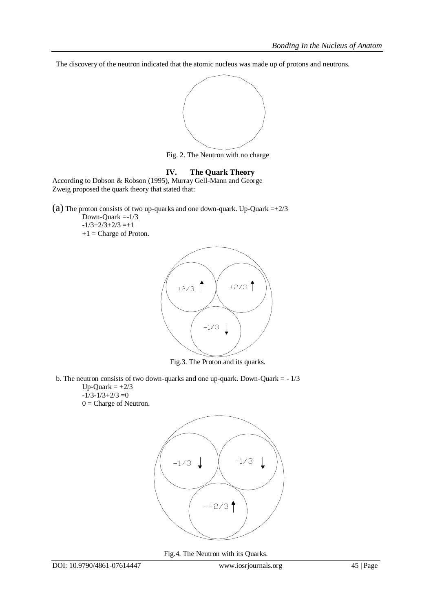The discovery of the neutron indicated that the atomic nucleus was made up of protons and neutrons.



Fig. 2. The Neutron with no charge

# **IV. The Quark Theory**

According to Dobson & Robson (1995), Murray Gell-Mann and George Zweig proposed the quark theory that stated that:

(a) The proton consists of two up-quarks and one down-quark. Up-Quark  $=+2/3$ 

Down-Quark =-1/3  $-1/3+2/3+2/3=+1$ +1 = Charge of Proton.



Fig.3. The Proton and its quarks.

b. The neutron consists of two down-quarks and one up-quark. Down-Quark  $= -1/3$ 

Up-Quark  $= +2/3$  $-1/3-1/3+2/3=0$  $0 =$ Charge of Neutron.



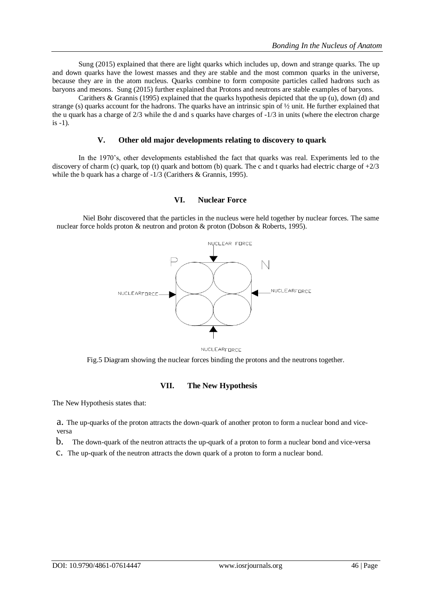Sung (2015) explained that there are light quarks which includes up, down and strange quarks. The up and down quarks have the lowest masses and they are stable and the most common quarks in the universe, because they are in the atom nucleus. Quarks combine to form composite particles called hadrons such as baryons and mesons. Sung (2015) further explained that Protons and neutrons are stable examples of baryons.

Carithers & Grannis (1995) explained that the quarks hypothesis depicted that the up (u), down (d) and strange (s) quarks account for the hadrons. The quarks have an intrinsic spin of ½ unit. He further explained that the u quark has a charge of 2/3 while the d and s quarks have charges of -1/3 in units (where the electron charge is -1).

#### **V. Other old major developments relating to discovery to quark**

In the 1970's, other developments established the fact that quarks was real. Experiments led to the discovery of charm (c) quark, top (t) quark and bottom (b) quark. The c and t quarks had electric charge of  $+2/3$ while the b quark has a charge of  $-1/3$  (Carithers & Grannis, 1995).

#### **VI. Nuclear Force**

Niel Bohr discovered that the particles in the nucleus were held together by nuclear forces. The same nuclear force holds proton & neutron and proton & proton (Dobson & Roberts, 1995).



NUCLEARFORCE

Fig.5 Diagram showing the nuclear forces binding the protons and the neutrons together.

## **VII. The New Hypothesis**

The New Hypothesis states that:

a. The up-quarks of the proton attracts the down-quark of another proton to form a nuclear bond and viceversa

b. The down-quark of the neutron attracts the up-quark of a proton to form a nuclear bond and vice-versa

c. The up-quark of the neutron attracts the down quark of a proton to form a nuclear bond.